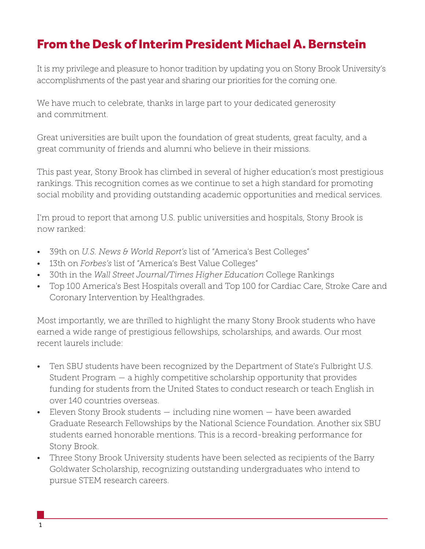## From the Desk of Interim President Michael A. Bernstein

It is my privilege and pleasure to honor tradition by updating you on Stony Brook University's accomplishments of the past year and sharing our priorities for the coming one.

We have much to celebrate, thanks in large part to your dedicated generosity and commitment.

Great universities are built upon the foundation of great students, great faculty, and a great community of friends and alumni who believe in their missions.

This past year, Stony Brook has climbed in several of higher education's most prestigious rankings. This recognition comes as we continue to set a high standard for promoting social mobility and providing outstanding academic opportunities and medical services.

I'm proud to report that among U.S. public universities and hospitals, Stony Brook is now ranked:

- 39th on *U.S. News & World Report's* list of "America's Best Colleges"
- 13th on *Forbes's* list of "America's Best Value Colleges"
- 30th in the *Wall Street Journal/Times Higher Education* College Rankings
- Top 100 America's Best Hospitals overall and Top 100 for Cardiac Care, Stroke Care and Coronary Intervention by Healthgrades.

Most importantly, we are thrilled to highlight the many Stony Brook students who have earned a wide range of prestigious fellowships, scholarships, and awards. Our most recent laurels include:

- Ten SBU students have been recognized by the Department of State's Fulbright U.S. Student Program — a highly competitive scholarship opportunity that provides funding for students from the United States to conduct research or teach English in over 140 countries overseas.
- Eleven Stony Brook students including nine women have been awarded Graduate Research Fellowships by the National Science Foundation. Another six SBU students earned honorable mentions. This is a record-breaking performance for Stony Brook.
- Three Stony Brook University students have been selected as recipients of the Barry Goldwater Scholarship, recognizing outstanding undergraduates who intend to pursue STEM research careers.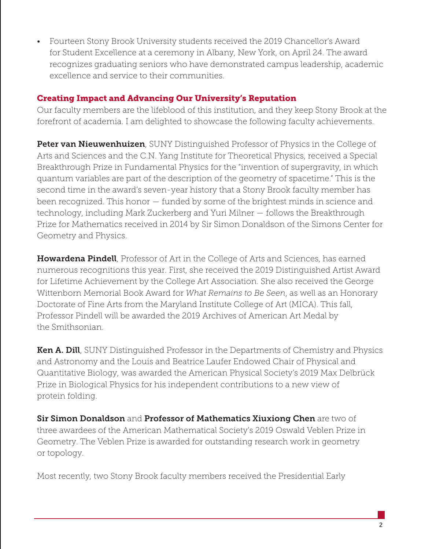• Fourteen Stony Brook University students received the 2019 Chancellor's Award for Student Excellence at a ceremony in Albany, New York, on April 24. The award recognizes graduating seniors who have demonstrated campus leadership, academic excellence and service to their communities.

## Creating Impact and Advancing Our University's Reputation

Our faculty members are the lifeblood of this institution, and they keep Stony Brook at the forefront of academia. I am delighted to showcase the following faculty achievements.

**Peter van Nieuwenhuizen**, SUNY Distinguished Professor of Physics in the College of Arts and Sciences and the C.N. Yang Institute for Theoretical Physics, received a Special Breakthrough Prize in Fundamental Physics for the "invention of supergravity, in which quantum variables are part of the description of the geometry of spacetime." This is the second time in the award's seven-year history that a Stony Brook faculty member has been recognized. This honor — funded by some of the brightest minds in science and technology, including Mark Zuckerberg and Yuri Milner — follows the Breakthrough Prize for Mathematics received in 2014 by Sir Simon Donaldson of the Simons Center for Geometry and Physics.

Howardena Pindell, Professor of Art in the College of Arts and Sciences, has earned numerous recognitions this year. First, she received the 2019 Distinguished Artist Award for Lifetime Achievement by the College Art Association. She also received the George Wittenborn Memorial Book Award for *What Remains to Be Seen*, as well as an Honorary Doctorate of Fine Arts from the Maryland Institute College of Art (MICA). This fall, Professor Pindell will be awarded the 2019 Archives of American Art Medal by the Smithsonian.

**Ken A. Dill**, SUNY Distinguished Professor in the Departments of Chemistry and Physics and Astronomy and the Louis and Beatrice Laufer Endowed Chair of Physical and Quantitative Biology, was awarded the American Physical Society's 2019 Max Delbrück Prize in Biological Physics for his independent contributions to a new view of protein folding.

Sir Simon Donaldson and Professor of Mathematics Xiuxiong Chen are two of three awardees of the American Mathematical Society's 2019 Oswald Veblen Prize in Geometry. The Veblen Prize is awarded for outstanding research work in geometry or topology.

Most recently, two Stony Brook faculty members received the Presidential Early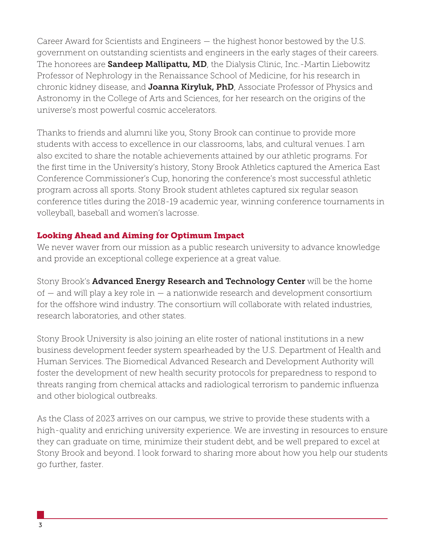Career Award for Scientists and Engineers — the highest honor bestowed by the U.S. government on outstanding scientists and engineers in the early stages of their careers. The honorees are **Sandeep Mallipattu, MD**, the Dialysis Clinic, Inc.-Martin Liebowitz Professor of Nephrology in the Renaissance School of Medicine, for his research in chronic kidney disease, and **Joanna Kiryluk, PhD**, Associate Professor of Physics and Astronomy in the College of Arts and Sciences, for her research on the origins of the universe's most powerful cosmic accelerators.

Thanks to friends and alumni like you, Stony Brook can continue to provide more students with access to excellence in our classrooms, labs, and cultural venues. I am also excited to share the notable achievements attained by our athletic programs. For the first time in the University's history, Stony Brook Athletics captured the America East Conference Commissioner's Cup, honoring the conference's most successful athletic program across all sports. Stony Brook student athletes captured six regular season conference titles during the 2018-19 academic year, winning conference tournaments in volleyball, baseball and women's lacrosse.

## Looking Ahead and Aiming for Optimum Impact

We never waver from our mission as a public research university to advance knowledge and provide an exceptional college experience at a great value.

Stony Brook's **Advanced Energy Research and Technology Center** will be the home of — and will play a key role in — a nationwide research and development consortium for the offshore wind industry. The consortium will collaborate with related industries, research laboratories, and other states.

Stony Brook University is also joining an elite roster of national institutions in a new business development feeder system spearheaded by the U.S. Department of Health and Human Services. The Biomedical Advanced Research and Development Authority will foster the development of new health security protocols for preparedness to respond to threats ranging from chemical attacks and radiological terrorism to pandemic influenza and other biological outbreaks.

As the Class of 2023 arrives on our campus, we strive to provide these students with a high-quality and enriching university experience. We are investing in resources to ensure they can graduate on time, minimize their student debt, and be well prepared to excel at Stony Brook and beyond. I look forward to sharing more about how you help our students go further, faster.